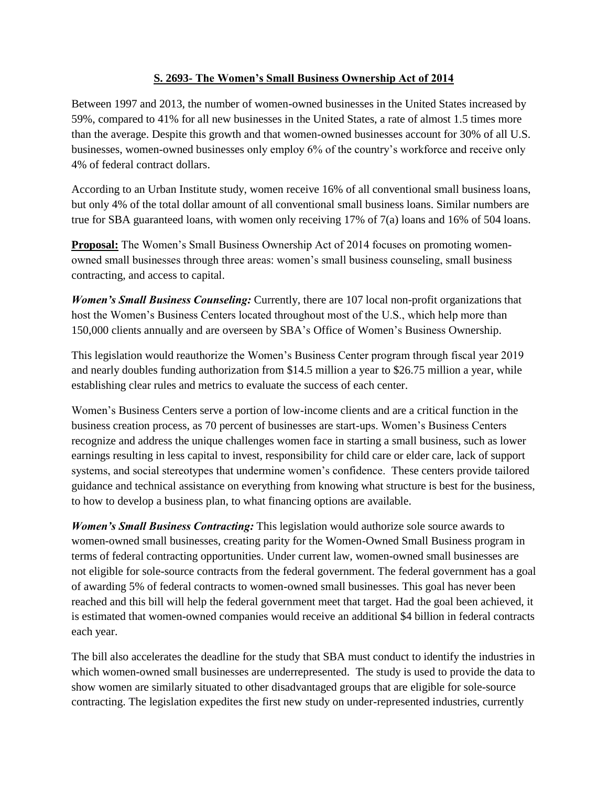## **S. 2693- The Women's Small Business Ownership Act of 2014**

Between 1997 and 2013, the number of women-owned businesses in the United States increased by 59%, compared to 41% for all new businesses in the United States, a rate of almost 1.5 times more than the average. Despite this growth and that women-owned businesses account for 30% of all U.S. businesses, women-owned businesses only employ 6% of the country's workforce and receive only 4% of federal contract dollars.

According to an Urban Institute study, women receive 16% of all conventional small business loans, but only 4% of the total dollar amount of all conventional small business loans. Similar numbers are true for SBA guaranteed loans, with women only receiving 17% of 7(a) loans and 16% of 504 loans.

**Proposal:** The Women's Small Business Ownership Act of 2014 focuses on promoting womenowned small businesses through three areas: women's small business counseling, small business contracting, and access to capital.

*Women's Small Business Counseling:* Currently, there are 107 local non-profit organizations that host the Women's Business Centers located throughout most of the U.S., which help more than 150,000 clients annually and are overseen by SBA's Office of Women's Business Ownership.

This legislation would reauthorize the Women's Business Center program through fiscal year 2019 and nearly doubles funding authorization from \$14.5 million a year to \$26.75 million a year, while establishing clear rules and metrics to evaluate the success of each center.

Women's Business Centers serve a portion of low-income clients and are a critical function in the business creation process, as 70 percent of businesses are start-ups. Women's Business Centers recognize and address the unique challenges women face in starting a small business, such as lower earnings resulting in less capital to invest, responsibility for child care or elder care, lack of support systems, and social stereotypes that undermine women's confidence. These centers provide tailored guidance and technical assistance on everything from knowing what structure is best for the business, to how to develop a business plan, to what financing options are available.

*Women's Small Business Contracting:* This legislation would authorize sole source awards to women-owned small businesses, creating parity for the Women-Owned Small Business program in terms of federal contracting opportunities. Under current law, women-owned small businesses are not eligible for sole-source contracts from the federal government. The federal government has a goal of awarding 5% of federal contracts to women-owned small businesses. This goal has never been reached and this bill will help the federal government meet that target. Had the goal been achieved, it is estimated that women-owned companies would receive an additional \$4 billion in federal contracts each year.

The bill also accelerates the deadline for the study that SBA must conduct to identify the industries in which women-owned small businesses are underrepresented. The study is used to provide the data to show women are similarly situated to other disadvantaged groups that are eligible for sole-source contracting. The legislation expedites the first new study on under-represented industries, currently